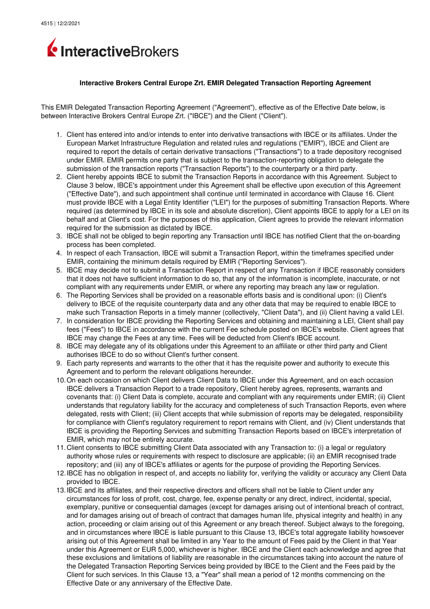

## **Interactive Brokers Central Europe Zrt. EMIR Delegated Transaction Reporting Agreement**

This EMIR Delegated Transaction Reporting Agreement ("Agreement"), effective as of the Effective Date below, is between Interactive Brokers Central Europe Zrt. ("IBCE") and the Client ("Client").

- 1. Client has entered into and/or intends to enter into derivative transactions with IBCE or its affiliates. Under the European Market Infrastructure Regulation and related rules and regulations ("EMIR"), IBCE and Client are required to report the details of certain derivative transactions ("Transactions") to a trade depository recognised under EMIR. EMIR permits one party that is subject to the transaction-reporting obligation to delegate the submission of the transaction reports ("Transaction Reports") to the counterparty or a third party.
- 2. Client hereby appoints IBCE to submit the Transaction Reports in accordance with this Agreement. Subject to Clause 3 below, IBCE's appointment under this Agreement shall be effective upon execution of this Agreement ("Effective Date"), and such appointment shall continue until terminated in accordance with Clause 16. Client must provide IBCE with a Legal Entity Identifier ("LEI") for the purposes of submitting Transaction Reports. Where required (as determined by IBCE in its sole and absolute discretion), Client appoints IBCE to apply for a LEI on its behalf and at Client's cost. For the purposes of this application, Client agrees to provide the relevant information required for the submission as dictated by IBCE.
- 3. IBCE shall not be obliged to begin reporting any Transaction until IBCE has notified Client that the on-boarding process has been completed.
- 4. In respect of each Transaction, IBCE will submit a Transaction Report, within the timeframes specified under EMIR, containing the minimum details required by EMIR ("Reporting Services").
- 5. IBCE may decide not to submit a Transaction Report in respect of any Transaction if IBCE reasonably considers that it does not have sufficient information to do so, that any of the information is incomplete, inaccurate, or not compliant with any requirements under EMIR, or where any reporting may breach any law or regulation.
- 6. The Reporting Services shall be provided on a reasonable efforts basis and is conditional upon: (i) Client's delivery to IBCE of the requisite counterparty data and any other data that may be required to enable IBCE to make such Transaction Reports in a timely manner (collectively, "Client Data"), and (ii) Client having a valid LEI.
- 7. In consideration for IBCE providing the Reporting Services and obtaining and maintaining a LEI, Client shall pay fees ("Fees") to IBCE in accordance with the current Fee schedule posted on IBCE's website. Client agrees that IBCE may change the Fees at any time. Fees will be deducted from Client's IBCE account.
- 8. IBCE may delegate any of its obligations under this Agreement to an affiliate or other third party and Client authorises IBCE to do so without Client's further consent.
- 9. Each party represents and warrants to the other that it has the requisite power and authority to execute this Agreement and to perform the relevant obligations hereunder.
- 10.On each occasion on which Client delivers Client Data to IBCE under this Agreement, and on each occasion IBCE delivers a Transaction Report to a trade repository, Client hereby agrees, represents, warrants and covenants that: (i) Client Data is complete, accurate and compliant with any requirements under EMIR; (ii) Client understands that regulatory liability for the accuracy and completeness of such Transaction Reports, even where delegated, rests with Client; (iii) Client accepts that while submission of reports may be delegated, responsibility for compliance with Client's regulatory requirement to report remains with Client, and (iv) Client understands that IBCE is providing the Reporting Services and submitting Transaction Reports based on IBCE's interpretation of EMIR, which may not be entirely accurate.
- 11.Client consents to IBCE submitting Client Data associated with any Transaction to: (i) a legal or regulatory authority whose rules or requirements with respect to disclosure are applicable; (ii) an EMIR recognised trade repository; and (iii) any of IBCE's affiliates or agents for the purpose of providing the Reporting Services.
- 12.IBCE has no obligation in respect of, and accepts no liability for, verifying the validity or accuracy any Client Data provided to IBCE.
- 13.IBCE and its affiliates, and their respective directors and officers shall not be liable to Client under any circumstances for loss of profit, cost, charge, fee, expense penalty or any direct, indirect, incidental, special, exemplary, punitive or consequential damages (except for damages arising out of intentional breach of contract, and for damages arising out of breach of contract that damages human life, physical integrity and health) in any action, proceeding or claim arising out of this Agreement or any breach thereof. Subject always to the foregoing, and in circumstances where IBCE is liable pursuant to this Clause 13, IBCE's total aggregate liability howsoever arising out of this Agreement shall be limited in any Year to the amount of Fees paid by the Client in that Year under this Agreement or EUR 5,000, whichever is higher. IBCE and the Client each acknowledge and agree that these exclusions and limitations of liability are reasonable in the circumstances taking into account the nature of the Delegated Transaction Reporting Services being provided by IBCE to the Client and the Fees paid by the Client for such services. In this Clause 13, a "Year" shall mean a period of 12 months commencing on the Effective Date or any anniversary of the Effective Date.